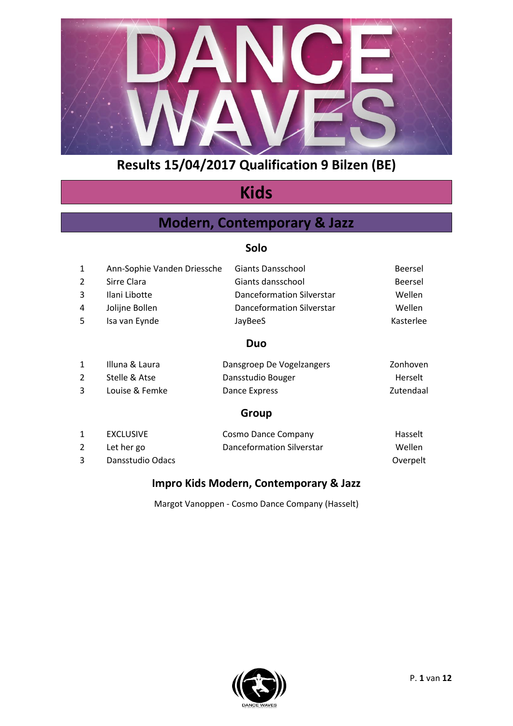

# **Kids**

### **Modern, Contemporary & Jazz**

#### **Solo**

| 1              | Ann-Sophie Vanden Driessche                          | <b>Giants Dansschool</b>         | <b>Beersel</b> |
|----------------|------------------------------------------------------|----------------------------------|----------------|
| $\overline{2}$ | Sirre Clara                                          | Giants dansschool                | <b>Beersel</b> |
| 3              | Ilani Libotte                                        | <b>Danceformation Silverstar</b> | Wellen         |
| 4              | Jolijne Bollen                                       | Danceformation Silverstar        | Wellen         |
| 5              | Isa van Eynde                                        | JayBeeS                          | Kasterlee      |
|                |                                                      | Duo                              |                |
| $\mathbf{1}$   | Illuna & Laura                                       | Dansgroep De Vogelzangers        | Zonhoven       |
| ົາ             | $C + \alpha$ lla $\Omega$ . $\Delta + \alpha \alpha$ | Doncetudio Dougor                | U              |

| Stelle & Atse  | Dansstudio Bouger | Herselt   |
|----------------|-------------------|-----------|
| Louise & Femke | Dance Express     | Zutendaal |

#### **Group**

| EXCLUSIVE        | Cosmo Dance Company       | Hasselt  |
|------------------|---------------------------|----------|
| Let her go       | Danceformation Silverstar | Wellen   |
| Dansstudio Odacs |                           | Overpelt |

#### **Impro Kids Modern, Contemporary & Jazz**

Margot Vanoppen - Cosmo Dance Company (Hasselt)

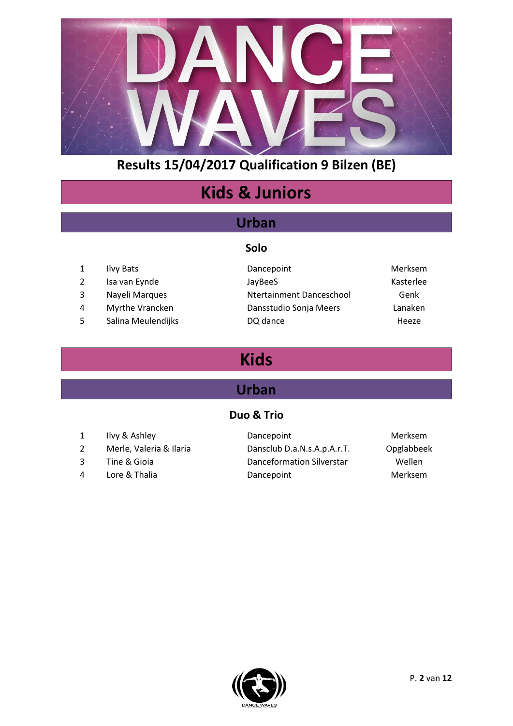

# **Kids & Juniors**

### **Urban**

**Solo**

- 
- 
- 
- 
- 
- 1 Ilvy Bats **Dancepoint** Dancepoint Merksem 2 Isa van Eynde Solution van de JayBeeS Assemble de Solution van de Kasterlee 3 Nayeli Marques **Ntertainment Danceschool** Genk 4 Myrthe Vrancken Dansstudio Sonja Meers Lanaken 5 Salina Meulendijks DQ dance **Heeze** Heeze
	-

# **Kids**

### **Urban**

#### **Duo & Trio**

- 
- 2 Merle, Valeria & Ilaria Dansclub D.a.N.s.A.p.A.r.T. Opglabbeek
- 
- 
- 1 Ilvy & Ashley **Dancepoint** Dance Dance Dance Dance Dance Dance Nerksem 3 Tine & Gioia Danceformation Silverstar Wellen 4 Lore & Thalia **Dancepoint** Dancepoint Merksem
	-

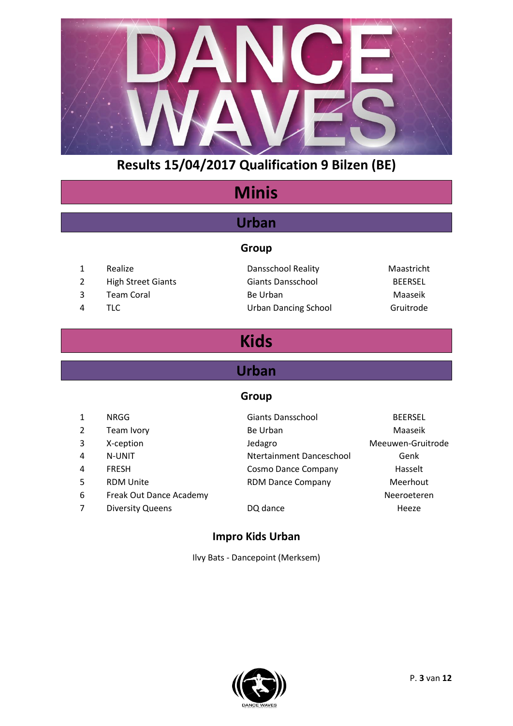

# **Minis**

### **Urban**

#### **Group**

1 Realize Dansschool Reality Maastricht 2 High Street Giants Giants Dansschool BEERSEL 3 Team Coral **Be Urban** Be Urban Maaseik 4 TLC Urban Dancing School Gruitrode

# **Kids**

### **Urban**

#### **Group**

| $\mathbf{1}$ | NRGG                    | <b>Giants Dansschool</b> | <b>BEERSEL</b>    |
|--------------|-------------------------|--------------------------|-------------------|
| 2            | Team Ivory              | Be Urban                 | Maaseik           |
| 3            | X-ception               | Jedagro                  | Meeuwen-Gruitrode |
| 4            | N-UNIT                  | Ntertainment Danceschool | Genk              |
| 4            | <b>FRESH</b>            | Cosmo Dance Company      | Hasselt           |
| 5            | <b>RDM Unite</b>        | <b>RDM Dance Company</b> | Meerhout          |
| 6            | Freak Out Dance Academy |                          | Neeroeteren       |
| 7            | <b>Diversity Queens</b> | DQ dance                 | Heeze             |
|              |                         |                          |                   |

#### **Impro Kids Urban**

Ilvy Bats - Dancepoint (Merksem)

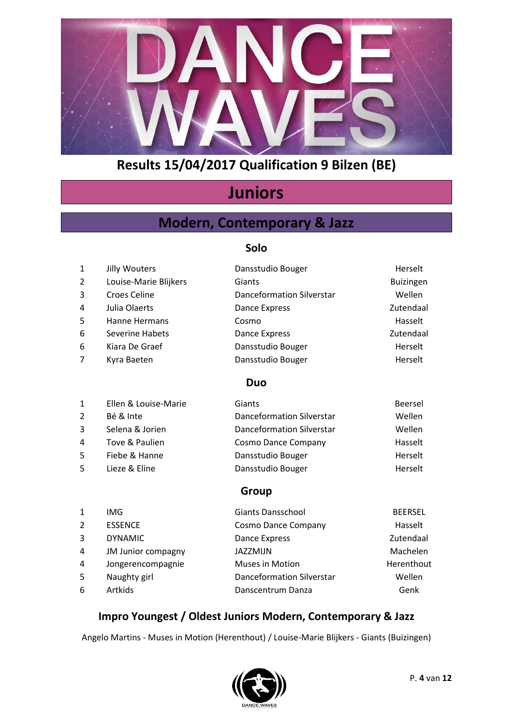

# **Juniors**

### **Modern, Contemporary & Jazz**

#### **Solo**

| 1              | Jilly Wouters         | Dansstudio Bouger         | Herselt          |
|----------------|-----------------------|---------------------------|------------------|
| $\overline{2}$ | Louise-Marie Blijkers | Giants                    | <b>Buizingen</b> |
| 3              | Croes Celine          | Danceformation Silverstar | Wellen           |
| 4              | Julia Olaerts         | Dance Express             | Zutendaal        |
| 5              | Hanne Hermans         | Cosmo                     | Hasselt          |
| 6              | Severine Habets       | Dance Express             | Zutendaal        |
| 6              | Kiara De Graef        | Dansstudio Bouger         | Herselt          |
| 7              | Kyra Baeten           | Dansstudio Bouger         | Herselt          |
|                |                       | <b>Duo</b>                |                  |
| 1              | Ellen & Louise-Marie  | Giants                    | <b>Beersel</b>   |

| ᆠ  | LIICII & LUUISC-IVIAHC | <b>SHOTLS</b>                    | DEEI SEI |
|----|------------------------|----------------------------------|----------|
|    | Bé & Inte              | <b>Danceformation Silverstar</b> | Wellen   |
| 3. | Selena & Jorien        | <b>Danceformation Silverstar</b> | Wellen   |
| 4  | Tove & Paulien         | <b>Cosmo Dance Company</b>       | Hasselt  |
| 5. | Fiebe & Hanne          | Dansstudio Bouger                | Herselt  |
| 5. | Lieze & Eline          | Dansstudio Bouger                | Herselt  |
|    |                        |                                  |          |

### **Group**

| 1              | IMG                | <b>Giants Dansschool</b>         | <b>BEERSEL</b> |
|----------------|--------------------|----------------------------------|----------------|
| $\overline{2}$ | <b>ESSENCE</b>     | Cosmo Dance Company              | Hasselt        |
| 3              | <b>DYNAMIC</b>     | Dance Express                    | Zutendaal      |
| 4              | JM Junior compagny | <b>JAZZMIJN</b>                  | Machelen       |
| 4              | Jongerencompagnie  | <b>Muses in Motion</b>           | Herenthout     |
| -5             | Naughty girl       | <b>Danceformation Silverstar</b> | Wellen         |
| 6              | <b>Artkids</b>     | Danscentrum Danza                | Genk           |

#### **Impro Youngest / Oldest Juniors Modern, Contemporary & Jazz**

Angelo Martins - Muses in Motion (Herenthout) / Louise-Marie Blijkers - Giants (Buizingen)

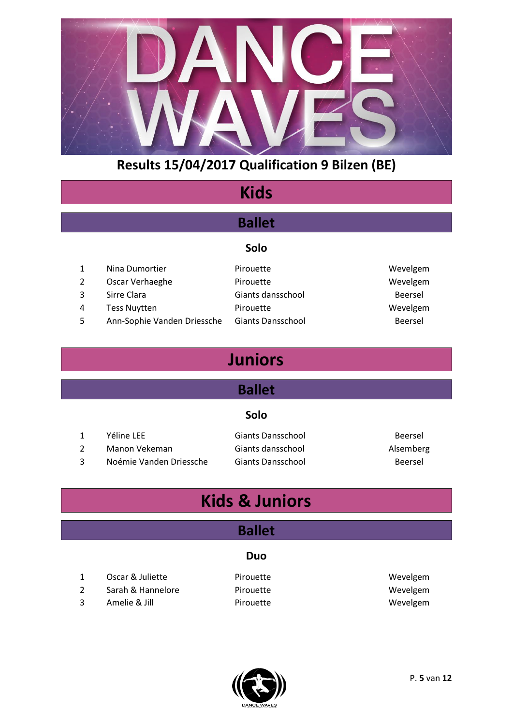

# **Kids**

### **Ballet**

#### **Solo**

- 1 Nina Dumortier Pirouette Pirouette Wevelgem
- 2 Oscar Verhaeghe Pirouette Provence Wevelgem
- 
- 
- 5 Ann-Sophie Vanden Driessche Giants Dansschool Beersel
- 3 Sirre Clara Giants dansschool Beersel 4 Tess Nuytten **Pirouette** Pirouette Wevelgem

# **Juniors**

### **Ballet**

#### **Solo**

|   | Yéline LEE              | Giants Dansschool | Beersel   |
|---|-------------------------|-------------------|-----------|
|   | Manon Vekeman           | Giants dansschool | Alsemberg |
| 3 | Noémie Vanden Driessche | Giants Dansschool | Beersel   |

# **Kids & Juniors**

### **Ballet**

#### **Duo**

- 1 Oscar & Juliette **Constructs** Pirouette **Network** Wevelgem 2 Sarah & Hannelore Pirouette Wevelgem
- 3 Amelie & Jill Pirouette Wevelgem
- 

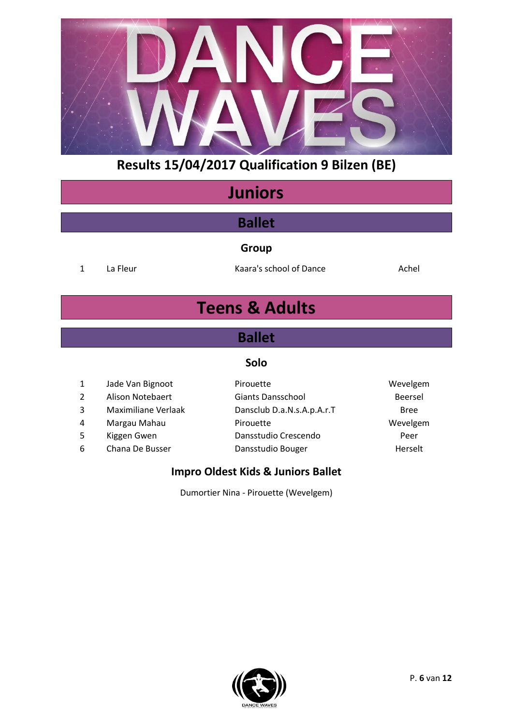

# **Juniors**

### **Ballet**

**Group**

1 La Fleur **Kaara's school of Dance** Achel

# **Teens & Adults**

### **Ballet**

#### **Solo**

| $\mathbf{1}$   | Jade Van Bignoot           | Pirouette                  | Wevelgem    |
|----------------|----------------------------|----------------------------|-------------|
| $\overline{2}$ | Alison Notebaert           | <b>Giants Dansschool</b>   | Beersel     |
| 3              | <b>Maximiliane Verlaak</b> | Dansclub D.a.N.s.A.p.A.r.T | <b>Bree</b> |
| 4              | Margau Mahau               | Pirouette                  | Wevelgem    |
| 5.             | Kiggen Gwen                | Dansstudio Crescendo       | Peer        |
| 6              | Chana De Busser            | Dansstudio Bouger          | Herselt     |
|                |                            |                            |             |

#### **Impro Oldest Kids & Juniors Ballet**

Dumortier Nina - Pirouette (Wevelgem)

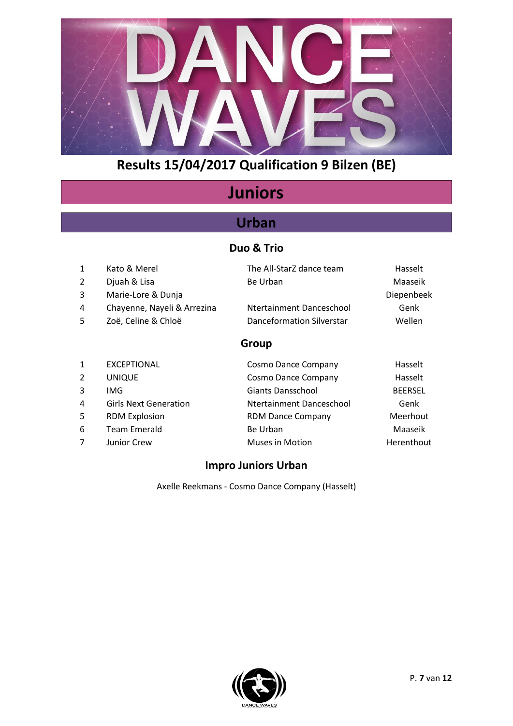

# **Juniors**

### **Urban**

### **Duo & Trio**

| 1<br>2<br>3<br>4<br>5 | Kato & Merel<br>Djuah & Lisa<br>Marie-Lore & Dunja<br>Chayenne, Nayeli & Arrezina<br>Zoë, Celine & Chloë | The All-StarZ dance team<br>Be Urban<br>Ntertainment Danceschool<br>Danceformation Silverstar | Hasselt<br>Maaseik<br>Diepenbeek<br>Genk<br>Wellen |
|-----------------------|----------------------------------------------------------------------------------------------------------|-----------------------------------------------------------------------------------------------|----------------------------------------------------|
|                       |                                                                                                          | Group                                                                                         |                                                    |
| 1                     | <b>EXCEPTIONAL</b>                                                                                       | Cosmo Dance Company                                                                           | Hasselt                                            |
| $\mathcal{P}$         | <b>UNIQUE</b>                                                                                            | Cosmo Dance Company                                                                           | Hasselt                                            |
| 3                     | IMG                                                                                                      | Giants Dansschool                                                                             | <b>BEERSEL</b>                                     |
| 4                     | <b>Girls Next Generation</b>                                                                             | Ntertainment Danceschool                                                                      | Genk                                               |
| 5                     | <b>RDM Explosion</b>                                                                                     | <b>RDM Dance Company</b>                                                                      | Meerhout                                           |
| 6                     | Team Emerald                                                                                             | Be Urban                                                                                      | Maaseik                                            |
|                       | Junior Crew                                                                                              | Muses in Motion                                                                               | Herenthout                                         |

#### **Impro Juniors Urban**

Axelle Reekmans - Cosmo Dance Company (Hasselt)

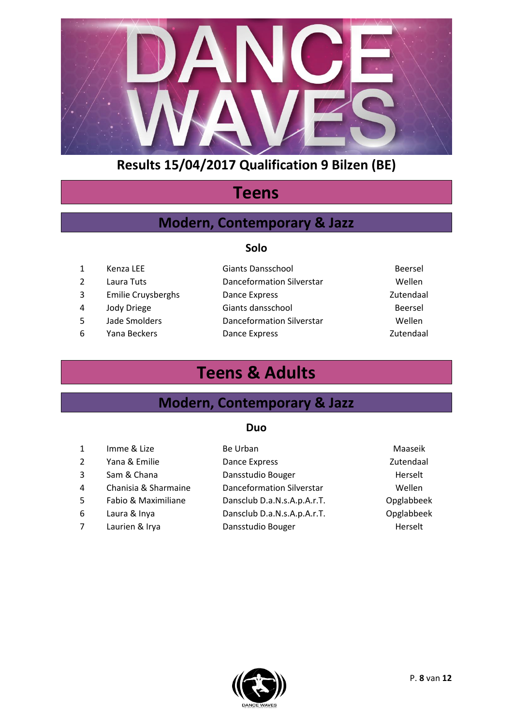

# **Teens**

### **Modern, Contemporary & Jazz**

#### **Solo**

|   | Kenza LEE                 | <b>Giants Dansschool</b>  | Beersel   |
|---|---------------------------|---------------------------|-----------|
|   | Laura Tuts                | Danceformation Silverstar | Wellen    |
| 3 | <b>Emilie Cruysberghs</b> | Dance Express             | Zutendaal |
| 4 | Jody Driege               | Giants dansschool         | Beersel   |
| 5 | Jade Smolders             | Danceformation Silverstar | Wellen    |
| 6 | Yana Beckers              | Dance Express             | Zutendaal |

# **Teens & Adults**

### **Modern, Contemporary & Jazz**

#### **Duo**

| $\mathbf{1}$   | Imme & Lize          | Be Urban                         | Maaseik    |
|----------------|----------------------|----------------------------------|------------|
| 2              | Yana & Emilie        | Dance Express                    | Zutendaal  |
| 3              | Sam & Chana          | Dansstudio Bouger                | Herselt    |
| 4              | Chanisia & Sharmaine | <b>Danceformation Silverstar</b> | Wellen     |
| 5              | Fabio & Maximiliane  | Dansclub D.a.N.s.A.p.A.r.T.      | Opglabbeek |
| 6              | Laura & Inya         | Dansclub D.a.N.s.A.p.A.r.T.      | Opglabbeek |
| $\overline{7}$ | Laurien & Irya       | Dansstudio Bouger                | Herselt    |
|                |                      |                                  |            |

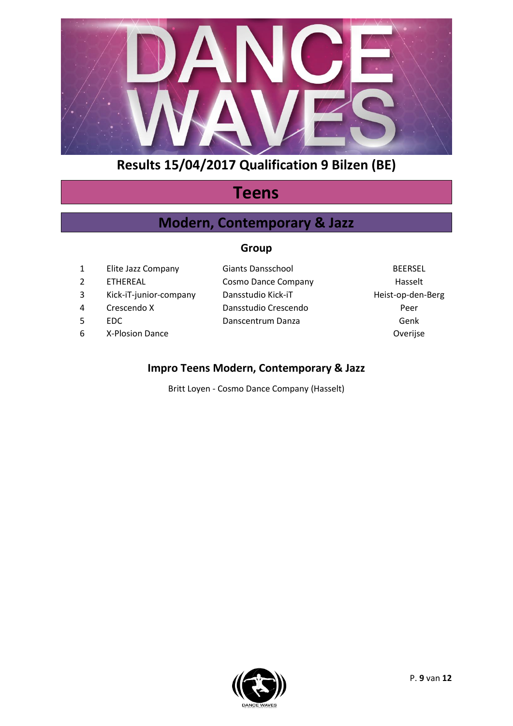

# **Teens**

### **Modern, Contemporary & Jazz**

#### **Group**

|   | Elite Jazz Company     | Giants Dansschool    | <b>BEERSEL</b>    |
|---|------------------------|----------------------|-------------------|
|   | <b>FTHEREAL</b>        | Cosmo Dance Company  | Hasselt           |
|   | Kick-iT-junior-company | Dansstudio Kick-iT   | Heist-op-den-Berg |
| 4 | Crescendo X            | Dansstudio Crescendo | Peer              |
|   | EDC.                   | Danscentrum Danza    | Genk              |
| 6 | X-Plosion Dance        |                      | Overijse          |

### **Impro Teens Modern, Contemporary & Jazz**

Britt Loyen - Cosmo Dance Company (Hasselt)

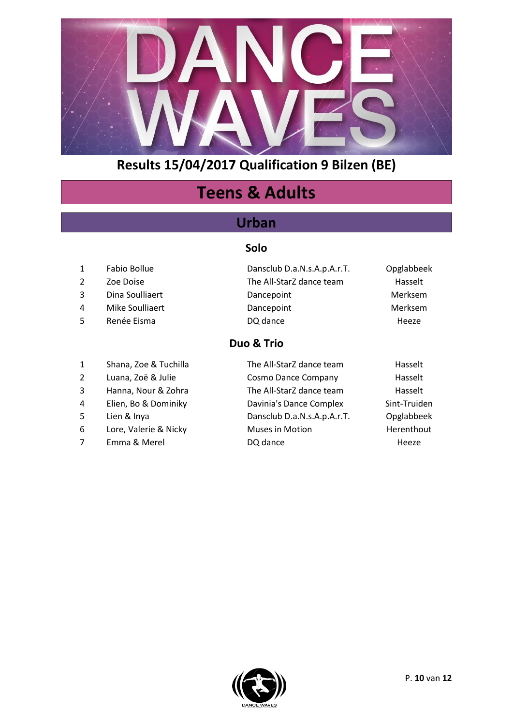

# **Teens & Adults**

### **Urban**

#### **Solo**

- 
- 
- 
- 
- 
- 
- 1 Shana, Zoe & Tuchilla The All-StarZ dance team Hasselt
- 
- 
- 4 Elien, Bo & Dominiky Davinia's Dance Complex Sint-Truiden
- 
- 6 Lore, Valerie & Nicky Muses in Motion Herenthout
- 

1 Fabio Bollue Dansclub D.a.N.s.A.p.A.r.T. Opglabbeek 2 Zoe Doise **The All-StarZ** dance team Hasselt 3 Dina Soulliaert **Dancepoint** Dancepoint Merksem 4 Mike Soulliaert **Dancepoint** Dancepoint Merksem 5 Renée Eisma DQ dance **DO** dance

### **Duo & Trio**

2 Luana, Zoë & Julie Cosmo Dance Company Hasselt 3 Hanna, Nour & Zohra The All-StarZ dance team Hasselt 5 Lien & Inya Dansclub D.a.N.s.A.p.A.r.T. Opglabbeek 7 Emma & Merel **DQ** dance **Example 20** Heeze

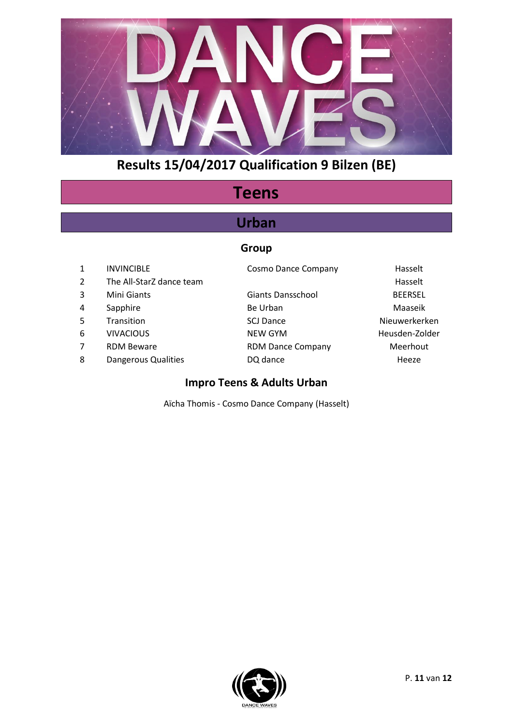

# **Teens**

### **Urban**

#### **Group**

1 INVINCIBLE Cosmo Dance Company Hasselt 2 The All-StarZ dance team **Hasselt Example 2** The All-StarZ dance team 3 Mini Giants Giants Dansschool BEERSEL 4 Sapphire **Be Urban** Be Urban Maaseik 5 Transition SCJ Dance Nieuwerkerken 6 VIVACIOUS NEW GYM Heusden-Zolder 7 RDM Beware **RDM Dance Company** Meerhout 8 Dangerous Qualities DQ dance DQ D D D D D D D D D D V Heeze

#### **Impro Teens & Adults Urban**

Aïcha Thomis - Cosmo Dance Company (Hasselt)